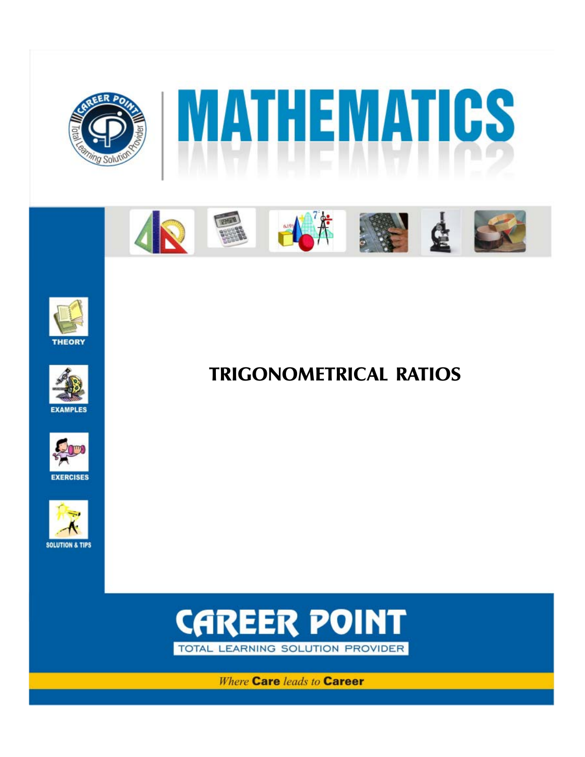













TRIGONOMETRICAL RATIOS



**Where Care leads to Career**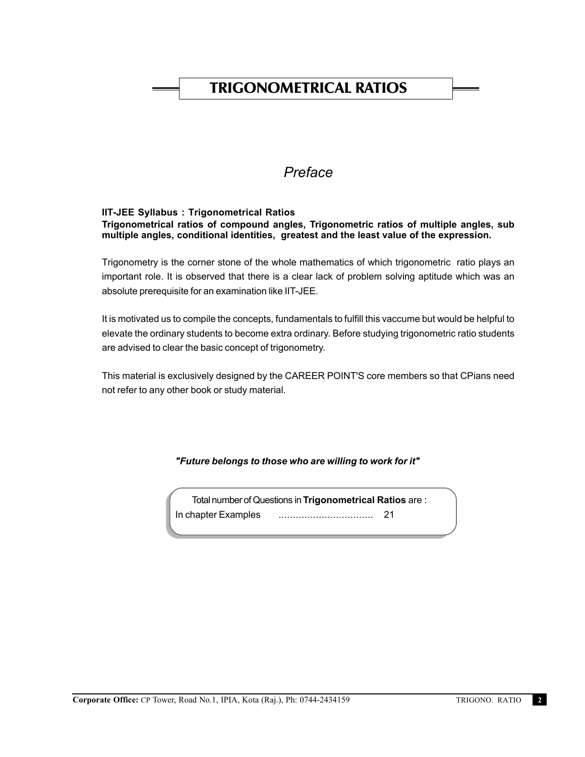# TRIGONOMETRICAL RATIOS

# *Preface*

### **IIT-JEE Syllabus : Trigonometrical Ratios Trigonometrical ratios of compound angles, Trigonometric ratios of multiple angles, sub multiple angles, conditional identities, greatest and the least value of the expression.**

Trigonometry is the corner stone of the whole mathematics of which trigonometric ratio plays an important role. It is observed that there is a clear lack of problem solving aptitude which was an absolute prerequisite for an examination like IIT-JEE.

It is motivated us to compile the concepts, fundamentals to fulfill this vaccume but would be helpful to elevate the ordinary students to become extra ordinary. Before studying trigonometric ratio students are advised to clear the basic concept of trigonometry.

This material is exclusively designed by the CAREER POINT'S core members so that CPians need not refer to any other book or study material.

# *"Future belongs to those who are willing to work for it"*

Total number of Questions in **Trigonometrical Ratios** are : In chapter Examples ................................. 21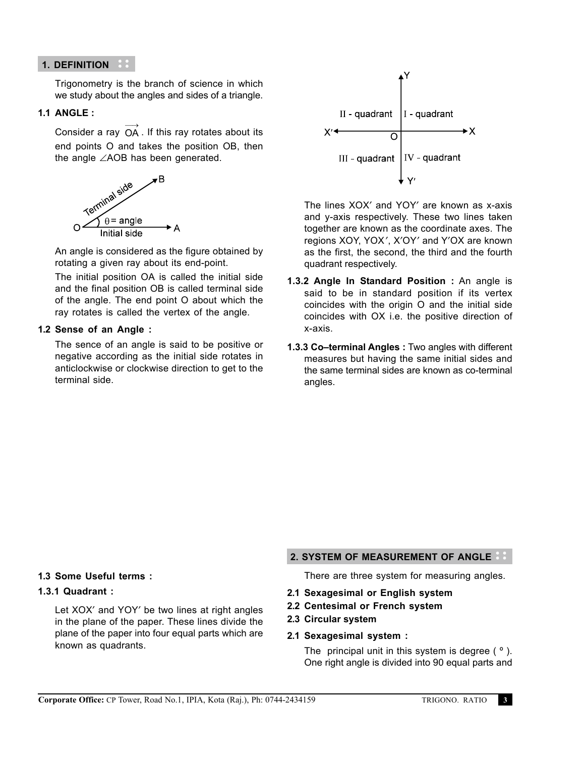# **1. DEFINITION**

Trigonometry is the branch of science in which we study about the angles and sides of a triangle.

# **1.1 ANGLE :**

Consider a ray  $\overrightarrow{OA}$  . If this ray rotates about its end points O and takes the position OB, then the angle ∠AOB has been generated.



An angle is considered as the figure obtained by rotating a given ray about its end-point.

The initial position OA is called the initial side and the final position OB is called terminal side of the angle. The end point O about which the ray rotates is called the vertex of the angle.

# **1.2 Sense of an Angle :**

The sence of an angle is said to be positive or negative according as the initial side rotates in anticlockwise or clockwise direction to get to the terminal side.



The lines XOX′ and YOY′ are known as x-axis and y-axis respectively. These two lines taken together are known as the coordinate axes. The regions XOY, YOX′, X′OY′ and Y′OX are known as the first, the second, the third and the fourth quadrant respectively.

- **1.3.2 Angle In Standard Position :** An angle is said to be in standard position if its vertex coincides with the origin O and the initial side coincides with OX i.e. the positive direction of x-axis.
- **1.3.3 Co–terminal Angles :** Two angles with different measures but having the same initial sides and the same terminal sides are known as co-terminal angles.

# **1.3 Some Useful terms :**

# **1.3.1 Quadrant :**

Let XOX′ and YOY′ be two lines at right angles in the plane of the paper. These lines divide the plane of the paper into four equal parts which are known as quadrants.

# **2. SYSTEM OF MEASUREMENT OF ANGLE**

There are three system for measuring angles.

- **2.1 Sexagesimal or English system**
- **2.2 Centesimal or French system**
- **2.3 Circular system**
- **2.1 Sexagesimal system :**

The principal unit in this system is degree  $(°)$ . One right angle is divided into 90 equal parts and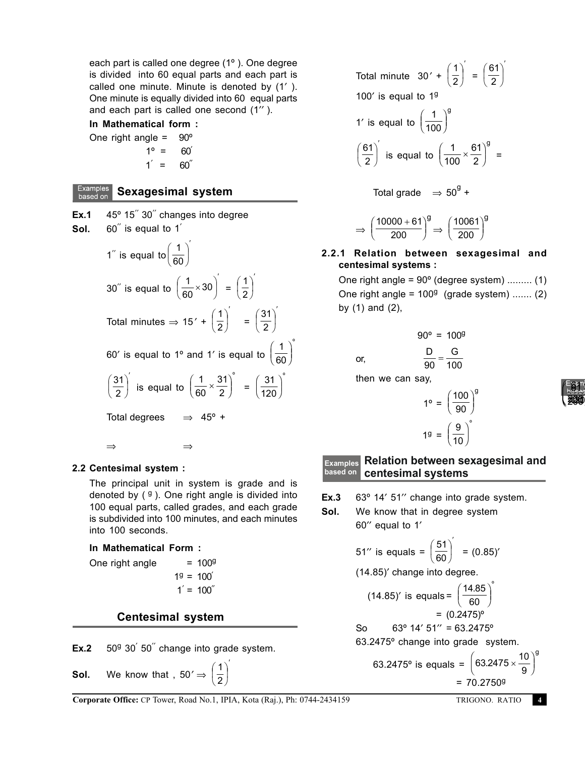each part is called one degree (1º ). One degree is divided into 60 equal parts and each part is called one minute. Minute is denoted by (1′ ). One minute is equally divided into 60 equal parts and each part is called one second (1′′ ).

### **In Mathematical form :**

One right angle  $= 90^\circ$  $1^{\circ} = 60^{\circ}$  $1' = 60$ 

# **Examples** Sexagesimal system

Ex.1 45° 15<sup>"</sup> 30<sup>"</sup> changes into degree Sol. 60<sup>"</sup> is equal to 1<sup>'</sup> 1′′ is equal to ′ I J  $\left(\frac{1}{2} \right)$ Y ſ 60 1 30′′ is equal to ′ I J  $\left(\frac{1}{22} \times 30\right)$ Y  $\left(\frac{1}{60}\times30\right)$  $\left(\frac{1}{20} \times 30\right)$  = ′  $\overline{\phantom{a}}$ J  $\left(\frac{1}{2}\right)$ Y ſ 2 1 Total minutes  $\Rightarrow$  15' + ′  $\overline{\phantom{a}}$ J  $\left(\frac{1}{2}\right)$ Y ſ 2 1 = ′  $\overline{\phantom{a}}$ J  $\left(\frac{31}{2}\right)$ L ſ 2 31 60′ is equal to 1º and 1′ is equal to 1  $\left(\frac{1}{60}\right)^{\circ}$  $\overline{f}$  $\overline{\phantom{a}}$ .<br>J )<br>| ′ I J  $\left(\frac{31}{2}\right)$ Y ſ 2  $\left(\frac{31}{2}\right)$  is equal to 1 60  $\left(\frac{1}{60} \times \frac{31}{2}\right)^{\circ}$  $\overline{\phantom{a}}$ .<br>J )<br>J  $=\int \frac{31}{425}$  $\left(\frac{31}{120}\right)^{\circ}$  $\overline{f}$  $\overline{\phantom{a}}$ .<br>J )<br>J Total degrees  $\Rightarrow$  45° + ⇒ ⇒

### **2.2 Centesimal system :**

The principal unit in system is grade and is denoted by  $(9)$ . One right angle is divided into 100 equal parts, called grades, and each grade is subdivided into 100 minutes, and each minutes into 100 seconds.

### **In Mathematical Form :**

One right angle  $= 100<sup>9</sup>$  $1<sup>9</sup> = 100'$  $1' = 100'$ 

# **Centesimal system**

Ex.2 50<sup>9</sup> 30<sup>'</sup> 50<sup>"</sup> change into grade system.

**Sol.** We know that, 50′⇒  $\left(\frac{1}{2}\right)$ l ſ 2 1

Total minute 30' + 
$$
\left(\frac{1}{2}\right)' = \left(\frac{61}{2}\right)'
$$
  
\n100' is equal to 1<sup>9</sup>  
\n1' is equal to  $\left(\frac{1}{100}\right)^9$   
\n $\left(\frac{61}{2}\right)'$  is equal to  $\left(\frac{1}{100} \times \frac{61}{2}\right)^9 =$   
\nTotal grade  $\Rightarrow 50^9 +$ 

$$
\Rightarrow \left(\frac{10000+61}{200}\right)^g \Rightarrow \left(\frac{10061}{200}\right)^g
$$

# **2.2.1 Relation between sexagesimal and centesimal systems :**

One right angle =  $90^\circ$  (degree system) ......... (1) One right angle =  $100<sup>9</sup>$  (grade system) ....... (2) by (1) and (2),

$$
90^{\circ} = 100^{\circ}
$$
  
or,  

$$
\frac{D}{90} = \frac{G}{100}
$$
  
then we can say,

$$
1^{\circ} = \left(\frac{100}{90}\right)^{9}
$$

$$
1^{\circ} = \left(\frac{9}{10}\right)^{6}
$$

#### **Relation between sexagesimal and centesimal systems Examples based on**

- **Ex.3** 63º 14′ 51′′ change into grade system.
- **Sol.** We know that in degree system 60′′ equal to 1′

51" is equals 
$$
=\left(\frac{51}{60}\right)' = (0.85)'
$$

(14.85)′ change into degree.

(14.85)' is equals 
$$
=\left(\frac{14.85}{60}\right)^{6}
$$
  
\n $= (0.2475)^{6}$   
\nSo 63° 14′ 51″ = 63.2475°  
\n63.2475° change into grade system.  
\n63.2475° is equals  $= \left(63.2475 \times \frac{10}{9}\right)^{6}$ 

| Coroporate Office: CP Tower, Road No.1, IPIA, Kota (Raj.), Ph: 0744-2434159 | $= 70.27509$ |
|-----------------------------------------------------------------------------|--------------|
|-----------------------------------------------------------------------------|--------------|

′  $\overline{\phantom{a}}$ 

 $= 70.27509$ 

K )<br>| g



K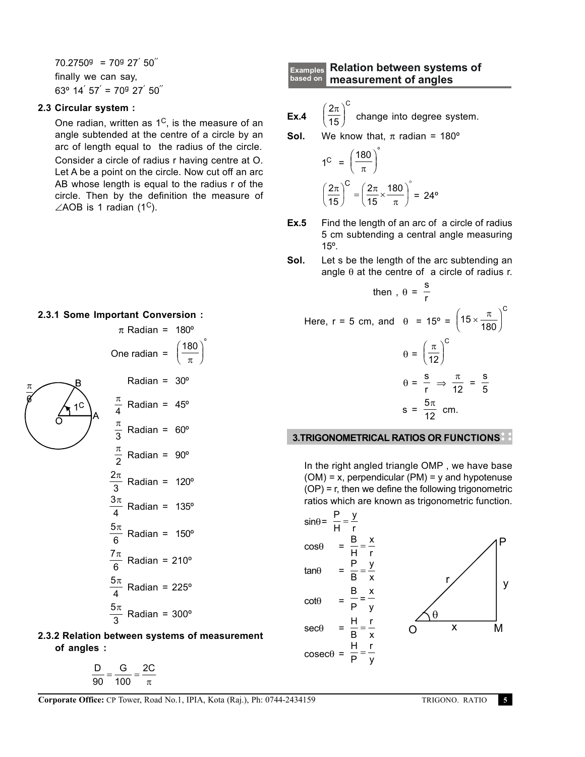$70.2750^9$  =  $70^9$  27' 50" finally we can say,  $63^{\circ}$  14 $^{'}$  57 $^{'}$  = 70 $^{9}$  27 $^{'}$  50 $^{''}$ 

#### **2.3 Circular system :**

One radian, written as  $1^{\circ}$ , is the measure of an angle subtended at the centre of a circle by an arc of length equal to the radius of the circle. Consider a circle of radius r having centre at O. Let A be a point on the circle. Now cut off an arc AB whose length is equal to the radius r of the circle. Then by the definition the measure of  $\angle$ AOB is 1 radian (1<sup>C</sup>).

#### **2.3.1 Some Important Conversion :**

π 6

$$
\pi \text{ Radian} = 180^{\circ}
$$
\nOne radian = 
$$
\left(\frac{180}{\pi}\right)
$$
\nRadius = 30°\n
$$
\frac{\pi}{4} \text{ Radian} = 45^{\circ}
$$
\n
$$
\frac{\pi}{3} \text{ Radian} = 60^{\circ}
$$
\n
$$
\frac{\pi}{2} \text{ Radian} = 90^{\circ}
$$
\n
$$
\frac{2\pi}{3} \text{ Radian} = 120^{\circ}
$$
\n
$$
\frac{3\pi}{4} \text{ Radian} = 135^{\circ}
$$
\n
$$
\frac{5\pi}{6} \text{ Radian} = 210^{\circ}
$$
\n
$$
\frac{5\pi}{4} \text{ Radian} = 225^{\circ}
$$

K )<br>J º

$$
\frac{5\pi}{3}
$$
 Radian = 300<sup>o</sup>

**2.3.2 Relation between systems of measurement of angles :**

$$
\frac{D}{90}=\frac{G}{100}=\frac{2C}{\pi}
$$

#### **Relation between systems of measurement of angles based on Examples**

**Ex.4** 
$$
\left(\frac{2\pi}{15}\right)^{c}
$$
 change into degree system.

**Sol.** We know that,  $\pi$  radian = 180<sup>o</sup>

$$
1^C = \left(\frac{180}{\pi}\right)^c
$$

$$
\left(\frac{2\pi}{15}\right)^C = \left(\frac{2\pi}{15} \times \frac{180}{\pi}\right)^c = 24^o
$$

- **Ex.5** Find the length of an arc of a circle of radius 5 cm subtending a central angle measuring 15º.
- **Sol.** Let s be the length of the arc subtending an angle  $\theta$  at the centre of a circle of radius r.

s

there, 
$$
f = 5
$$
 cm, and  $\theta = 15^{\circ} = \left(15 \times \frac{\pi}{180}\right)^{C}$ 

\n
$$
\theta = \left(\frac{\pi}{12}\right)^{C}
$$
\n
$$
\theta = \frac{s}{r} \Rightarrow \frac{\pi}{12} = \frac{s}{5}
$$
\n
$$
s = \frac{5\pi}{12}
$$
 cm.

### **3.TRIGONOMETRICAL RATIOS OR FUNCTIONS**

In the right angled triangle OMP , we have base  $(OM) = x$ , perpendicular  $(PM) = y$  and hypotenuse (OP) = r, then we define the following trigonometric ratios which are known as trigonometric function.

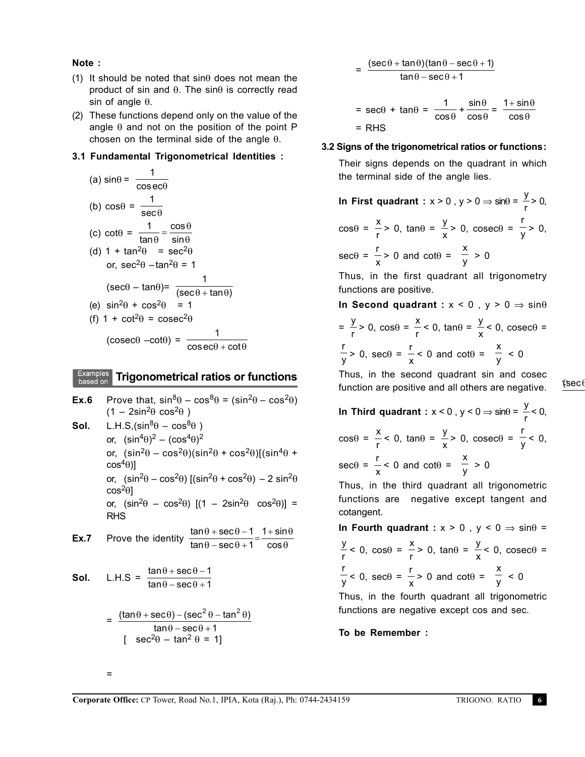**Note :**

- (1) It should be noted that  $sin\theta$  does not mean the product of sin and θ. The sinθ is correctly read sin of angle  $θ$ .
- (2) These functions depend only on the value of the angle  $\theta$  and not on the position of the point P chosen on the terminal side of the angle  $θ$ .

# **3.1 Fundamental Trigonometrical Identities :**

(a) 
$$
\sin\theta = \frac{1}{\cos\theta}
$$
  
\n(b)  $\cos\theta = \frac{1}{\sec\theta}$   
\n(c)  $\cot\theta = \frac{1}{\tan\theta} = \frac{\cos\theta}{\sin\theta}$   
\n(d)  $1 + \tan^2\theta = \sec^2\theta$   
\nor,  $\sec^2\theta - \tan^2\theta = 1$   
\n $(\sec\theta - \tan\theta) = \frac{1}{(\sec\theta + \tan\theta)}$   
\n(e)  $\sin^2\theta + \cos^2\theta = 1$   
\n(f)  $1 + \cot^2\theta = \csc^2\theta$   
\n $(\csc\theta - \cot\theta) = \frac{1}{\cos\theta + \cot\theta}$ 

# **Examples** Trigonometrical ratios or functions

**Ex.6** Prove that,  $\sin^8\theta - \cos^8\theta = (\sin^2\theta - \cos^2\theta)$  $(1 - 2\sin^2\theta \cos^2\theta)$ **Sol.** L.H.S,  $(\sin^8\theta - \cos^8\theta)$ or,  $(\sin^4\theta)^2 - (\cos^4\theta)^2$ or,  $(\sin^2\theta - \cos^2\theta)(\sin^2\theta + \cos^2\theta)(\sin^4\theta + \cos^2\theta)$  $cos<sup>4</sup>θ$ )] or,  $(\sin^2\theta - \cos^2\theta)$   $[(\sin^2\theta + \cos^2\theta) - 2 \sin^2\theta$  $cos<sup>2</sup>θ$ or,  $(\sin^2\theta - \cos^2\theta)$   $[(1 - 2\sin^2\theta \cos^2\theta)]$  = RHS **Ex.7** Prove the identity  $\frac{\tan \theta + \sec}{\tan \theta - \sec \theta}$ tan $\uptheta$  – sec sin cos  $\theta$  + sec $\theta$  $\theta$  – sec $\theta$ θ θ  $\frac{+ \sec \theta - 1}{- \sec \theta + 1} = \frac{1 + \cos \theta}{\cos \theta}$ 1 1 **Sol.** L.H.S =  $\frac{\tan \theta + \sec}{\tan \theta - \sec}$  $\theta$  + sec $\theta$  $\theta$  – sec $\theta$  $+$  sec $\theta$  –  $-$  sec $\theta$ + 1 1  $=\frac{(\tan \theta + \sec \theta) - (\sec^2 \theta - \tan^2 \theta)}{(\tan \theta - \tan^2 \theta)}$ 

$$
\frac{(\tan \theta + \sec \theta) - (\sec^2 \theta - \tan^2 \theta)}{\tan \theta - \sec \theta + 1}
$$
  
[  $\sec^2 \theta - \tan^2 \theta = 1$ ]

=

$$
= \frac{(\sec\theta + \tan\theta)(\tan\theta - \sec\theta + 1)}{\tan\theta - \sec\theta + 1}
$$

$$
= \sec\theta + \tan\theta = \frac{1}{\cos\theta} + \frac{\sin\theta}{\cos\theta} = \frac{1 + \sin\theta}{\cos\theta}
$$

$$
= RHS
$$

# **3.2 Signs of the trigonometrical ratios or functions:**

Their signs depends on the quadrant in which the terminal side of the angle lies.

**In First quadrant** :  $x > 0$  ,  $y > 0 \Rightarrow \sin\theta = \frac{y}{x}$  $\frac{y}{r}$  > 0,  $\cos\theta = \frac{x}{x}$  $\frac{x}{r}$  > 0, tan $\theta = \frac{y}{x}$  $\frac{y}{x}$  > 0, cosecθ = r  $\frac{1}{y}$  > 0,  $sec\theta = \frac{r}{r}$  $\frac{1}{x}$  > 0 and cot $\theta$  = x  $\frac{-}{y}$  > 0

Thus, in the first quadrant all trigonometry functions are positive.

**In Second quadrant :** x < 0 , y > 0 ⇒ sinθ  $=\frac{y}{y}$  $\frac{y}{r}$  > 0, cos $\theta = \frac{x}{r}$  $\frac{x}{r}$  < 0, tan $\theta = \frac{y}{x}$  $\frac{y}{x}$  < 0, cosec $\theta$  = r  $\frac{r}{y}$  > 0, sec $\theta = \frac{r}{x}$  $\frac{1}{x}$  < 0 and cot $\theta$  = x  $\frac{1}{y}$  < 0

Thus, in the second quadrant sin and cosec function are positive and all others are negative.

 $*sec$ 

**In Third quadrant** :  $x < 0$  ,  $y < 0 \Rightarrow \sin\theta = \frac{y}{x}$  $\frac{J}{r}$  < 0,  $\cos\theta = \frac{x}{x}$  $\frac{x}{r}$  < 0, tan $\theta = \frac{y}{x}$  $\frac{y}{x}$  > 0, cosecθ = r  $\frac{1}{y}$  < 0,  $sec\theta = \frac{r}{r}$  $\frac{1}{x}$  < 0 and cot $\theta$  = x  $\frac{1}{y} > 0$ 

Thus, in the third quadrant all trigonometric functions are negative except tangent and cotangent.

**In Fourth quadrant :**  $x > 0$ ,  $y < 0 \Rightarrow \sin \theta =$ y  $\frac{y}{r}$  < 0, cos $\theta = \frac{x}{r}$  $\frac{x}{r}$  > 0, tan $\theta = \frac{y}{x}$  $\frac{y}{x}$  < 0, cosec $θ =$ r  $\frac{r}{y}$  < 0, sec $\theta = \frac{r}{x}$  $\frac{1}{x}$  > 0 and cot $\theta$  = x  $\frac{1}{y}$  < 0

Thus, in the fourth quadrant all trigonometric functions are negative except cos and sec.

**To be Remember :**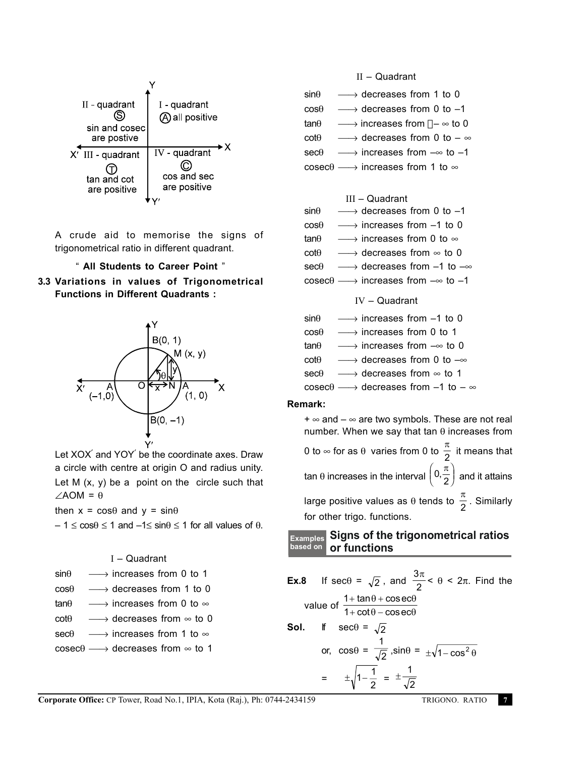| $II$ - quadrant<br>sin and cosec<br>are postive    | I - quadrant<br>all positive                 |
|----------------------------------------------------|----------------------------------------------|
| $X'$ III - quadrant<br>tan and cot<br>are positive | IV - quadrant<br>cos and sec<br>are positive |

A crude aid to memorise the signs of trigonometrical ratio in different quadrant.

### " **All Students to Career Point** "





Let XOX and YOY be the coordinate axes. Draw a circle with centre at origin O and radius unity. Let  $M$   $(x, y)$  be a point on the circle such that  $∠AOM = θ$ 

then  $x = \cos\theta$  and  $y = \sin\theta$ 

 $-1 \leq \cos\theta \leq 1$  and  $-1 \leq \sin\theta \leq 1$  for all values of  $\theta$ .

I – Quadrant

| sinθ | $\rightarrow$ increases from 0 to 1 |  |  |
|------|-------------------------------------|--|--|
|      |                                     |  |  |

- $\cos\theta \longrightarrow$  decreases from 1 to 0
- $tan\theta \longrightarrow$  increases from 0 to  $\infty$
- $\cot\theta$   $\longrightarrow$  decreases from  $\infty$  to 0

 $\sec\theta \longrightarrow$  increases from 1 to  $\infty$ 

 $\csc\theta \longrightarrow$  decreases from  $\infty$  to 1

II – Quadrant

| $sin\theta$ | $\longrightarrow$ decreases from 1 to 0                   |
|-------------|-----------------------------------------------------------|
| $cos\theta$ | $\longrightarrow$ decreases from 0 to -1                  |
| $tan\theta$ | → increases from $\neg$ $\rightarrow$ to 0                |
| $cot\theta$ | → decreases from 0 to $ \infty$                           |
| $sec\theta$ | $\longrightarrow$ increases from $-\infty$ to -1          |
|             | $\csc\theta \longrightarrow$ increases from 1 to $\infty$ |

# III – Quadrant

| $sin\theta$ | $\longrightarrow$ decreases from 0 to -1                       |
|-------------|----------------------------------------------------------------|
| $cos\theta$ | $\longrightarrow$ increases from -1 to 0                       |
| $tan\theta$ | $\longrightarrow$ increases from 0 to $\infty$                 |
| $cot\theta$ | $\longrightarrow$ decreases from $\infty$ to 0                 |
| $sec\theta$ | $\longrightarrow$ decreases from -1 to $-\infty$               |
|             | $\csc \theta \longrightarrow$ increases from $-\infty$ to $-1$ |

### IV – Quadrant

| sin $\theta$   | $\longrightarrow$ increases from −1 to 0                                                                        |
|----------------|-----------------------------------------------------------------------------------------------------------------|
| $cos\theta$    | $\longrightarrow$ increases from 0 to 1                                                                         |
| tanθ           | $\longrightarrow$ increases from $-\infty$ to 0                                                                 |
| $\cot\!\theta$ | → decreases from 0 to $-\infty$                                                                                 |
| $\sec\theta$   | $\longrightarrow$ decreases from $\infty$ to 1                                                                  |
|                | $\text{cosec}\theta \longrightarrow \text{decreases from } \text{\textendash} 1$ to $\text{\textendash} \infty$ |

# **Remark:**

 $+ \infty$  and  $- \infty$  are two symbols. These are not real number. When we say that tan  $θ$  increases from 0 to ∞ for as θ varies from 0 to  $\frac{\pi}{2}$  it means that tan θ increases in the interval  $\left(0,\frac{\pi}{2}\right)$  and it attains  $\bigg($ K

large positive values as  $\theta$  tends to  $\frac{\pi}{2}$  . Similarly for other trigo. functions.

# **Signs of the trigonometrical ratios Examples or functions based on**

**Ex.8** If sec $\theta = \sqrt{2}$ , and  $\frac{3}{4}$ 2  $\frac{\pi}{\Delta}$  < θ < 2π. Find the value of  $\frac{1}{4}$ 1  $+$  tan $\theta$  +  $+ \cot \theta$ tan  $\theta$  + cos  $\cot \theta - \cos$  $\theta$  + cosec $\theta$  $\theta$  – cosec $\theta$ ec ec **Sol.** If  $\sec\theta = \sqrt{2}$ or,  $cos\theta =$ 1  $\frac{1}{2}$ ,sin $\theta = \pm \sqrt{1 - \cos^2 \theta}$  $=$   $\pm \sqrt{1-\frac{1}{2}} = \pm \frac{1}{\sqrt{2}}$ 2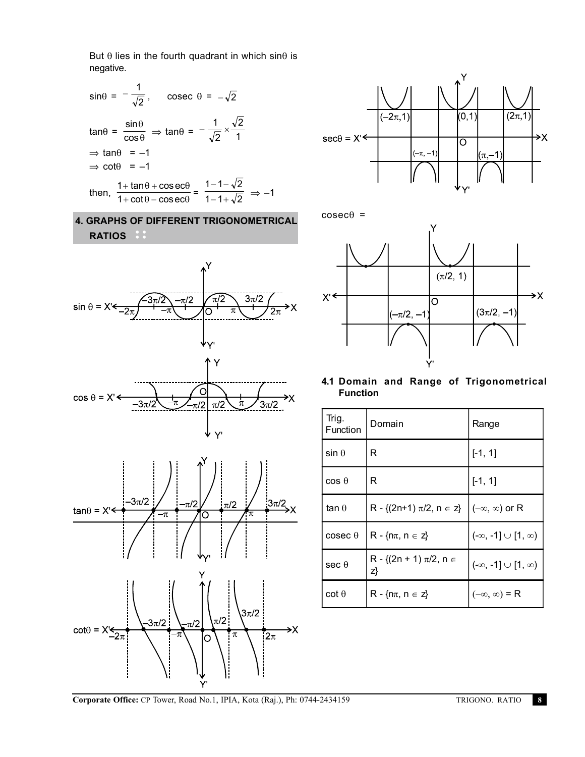But  $\theta$  lies in the fourth quadrant in which sin $\theta$  is negative.



# **4. GRAPHS OF DIFFERENT TRIGONOMETRICAL RATIOS**





 $cosec\theta =$ 



**4.1 Domain and Range of Trigonometrical Function**

| Trig.<br>Function | Domain                                | Range                            |
|-------------------|---------------------------------------|----------------------------------|
| $sin \theta$      | R                                     | $[-1, 1]$                        |
| $cos \theta$      | R                                     | $[-1, 1]$                        |
| $tan \theta$      | R - { $(2n+1)$ $\pi/2$ , $n \in z$ }  | $(-\infty, \infty)$ or R         |
| $\csc \theta$     | $R - \{n\pi, n \in \mathbb{Z}\}\$     | $(-\infty, -1] \cup [1, \infty)$ |
| $sec \theta$      | R - {(2n + 1) $\pi/2$ , n $\in$<br>z} | $(-\infty, -1] \cup [1, \infty)$ |
| $\cot \theta$     | $R - \{n\pi, n \in Z\}$               | $(-\infty, \infty)$ = R          |

**Corporate Office:** CP Tower, Road No.1, IPIA, Kota (Raj.), Ph: 0744-2434159 TRIGONO. RATIO **8**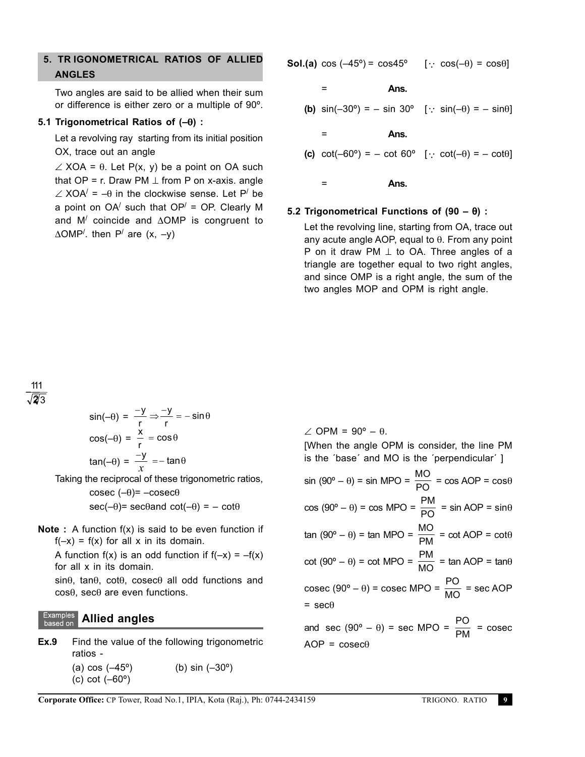# **5. TR IGONOMETRICAL RATIOS OF ALLIED ANGLES**

Two angles are said to be allied when their sum or difference is either zero or a multiple of 90º.

#### **5.1 Trigonometrical Ratios of (–**θ**) :**

Let a revolving ray starting from its initial position OX, trace out an angle

 $\angle$  XOA =  $\theta$ . Let P(x, y) be a point on OA such that  $OP = r$ . Draw PM  $\perp$  from P on x-axis. angle  $\angle$  XOA $'$  = - $\theta$  in the clockwise sense. Let P<sup> $\prime$ </sup> be a point on  $OA'$  such that  $OP' = OP$ . Clearly M and M/ coincide and ∆OMP is congruent to ∆OMP<sup>/</sup>. then P<sup>/</sup> are (x, -y)

**Sol.(a)**  $\cos(-45^\circ) = \cos 45^\circ$  [:  $\cos(-\theta) = \cos \theta$ ]

**Ans.**

**(b)**  $\sin(-30^{\circ}) = -\sin 30^{\circ}$  [:  $\sin(-\theta) = -\sin\theta$ ]

**Ans.**

=

=

(c) 
$$
cot(-60^{\circ}) = -\cot 60^{\circ}
$$
 [  $\because \cot(-\theta) = -\cot\theta$ ]

= **Ans.**

#### **5.2 Trigonometrical Functions of (90 –** θ**) :**

Let the revolving line, starting from OA, trace out any acute angle AOP, equal to θ. From any point P on it draw PM  $⊥$  to OA. Three angles of a triangle are together equal to two right angles, and since OMP is a right angle, the sum of the two angles MOP and OPM is right angle.

#### 1 2  $\frac{11}{5}$ 2 1 3

$$
\sin(-\theta) = \frac{-y}{r} \Rightarrow \frac{-y}{r} = -\sin\theta
$$

$$
\cos(-\theta) = \frac{x}{r} = \cos\theta
$$

$$
\tan(-\theta) = \frac{-y}{x} = -\tan\theta
$$

Taking the reciprocal of these trigonometric ratios,

$$
\csc(-\theta) = -\csc\theta
$$
  
\n
$$
\sec(-\theta) = \sec\theta
$$
 and 
$$
\cot(-\theta) = -\cot\theta
$$

**Note :** A function f(x) is said to be even function if  $f(-x) = f(x)$  for all x in its domain.

A function  $f(x)$  is an odd function if  $f(-x) = -f(x)$ for all x in its domain.

sinθ, tanθ, cotθ, cosecθ all odd functions and cosθ, secθ are even functions.

#### **Examples Allied angles** based on

**Ex.9** Find the value of the following trigonometric ratios -

> (a)  $\cos(-45^\circ)$  (b)  $\sin(-30^\circ)$ (c) cot (–60º)

 $\angle$  OPM = 90° –  $\theta$ . [When the angle OPM is consider, the line PM is the ´base´ and MO is the ´perpendicular´ ]  $\sin (90^\circ - \theta) = \sin \text{MPO} = \frac{\text{MO}}{\text{PO}} = \cos \text{AOP} = \cos \theta$  $cos(90^\circ - \theta) = cos MPO = \frac{PM}{PO} = sin AOP = sin\theta$ tan (90° – θ) = tan MPO =  $\frac{MO}{PM}$  = cot AOP = cotθ  $cot (90^\circ - \theta) = cot MPO = \frac{PM}{MO} = tan AOP = tan\theta$ cosec (90° –  $\theta$ ) = cosec MPO =  $\frac{PQ}{MO}$  = sec AOP  $=$  sec $\theta$ and sec (90° –  $\theta$ ) = sec MPO =  $\frac{PQ}{PM}$  = cosec  $AOP = \csc\theta$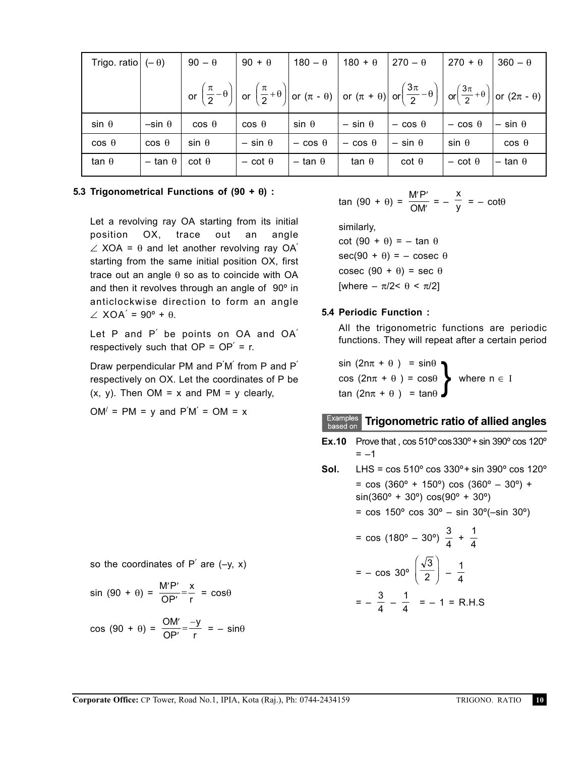| Trigo. ratio $(-\theta)$ |                  | $90 - \theta$ | $90 + \theta$    | $180 - \theta$   | $180 + \theta$   | $270 - \theta$                                                                                                                                                                                                                                                                                                                                                                       | $270 + \theta$   | $360 - \theta$   |
|--------------------------|------------------|---------------|------------------|------------------|------------------|--------------------------------------------------------------------------------------------------------------------------------------------------------------------------------------------------------------------------------------------------------------------------------------------------------------------------------------------------------------------------------------|------------------|------------------|
|                          |                  |               |                  |                  |                  | or $\left(\frac{\pi}{2}-\theta\right)\right $ or $\left(\frac{\pi}{2}+\theta\right)\right $ or $(\pi - \theta)\left \right $ or $(\pi + \theta)\left \left \left(\frac{3\pi}{2}-\theta\right)\right \right $ or $\left(\frac{3\pi}{2}+\theta\right)\left \left \left(\frac{3\pi}{2}+\theta\right)\right \right $ or $(2\pi - \theta)\left \left(\frac{3\pi}{2}+\theta\right)\right $ |                  |                  |
| $sin \theta$             | $-\sin \theta$   | $\cos \theta$ | $\cos \theta$    | $sin \theta$     | $-$ sin $\theta$ | $-\cos \theta$                                                                                                                                                                                                                                                                                                                                                                       | $-\cos \theta$   | $-$ sin $\theta$ |
| $\cos \theta$            | $\cos \theta$    | $sin \theta$  | $-$ sin $\theta$ | $-\cos \theta$   | $-$ cos $\theta$ | $-$ sin $\theta$                                                                                                                                                                                                                                                                                                                                                                     | $sin \theta$     | $\cos \theta$    |
| tan $\theta$             | $-$ tan $\theta$ | $cot \theta$  | $-$ cot $\theta$ | $-$ tan $\theta$ | tan $\theta$     | $cot \theta$                                                                                                                                                                                                                                                                                                                                                                         | $-$ cot $\theta$ | $-$ tan $\theta$ |

### **5.3 Trigonometrical Functions of (90 +** θ**) :**

Let a revolving ray OA starting from its initial position OX, trace out an angle  $\angle$  XOA =  $\theta$  and let another revolving ray OA<sup> $\theta$ </sup> starting from the same initial position OX, first trace out an angle  $\theta$  so as to coincide with OA and then it revolves through an angle of 90º in anticlockwise direction to form an angle  $\angle$  XOA<sup>'</sup> = 90° +  $\theta$ .

Let P and P' be points on OA and OA' respectively such that  $OP = OP' = r$ .

Draw perpendicular PM and P'M' from P and P' respectively on OX. Let the coordinates of P be  $(x, y)$ . Then OM = x and PM = y clearly,

 $OM' = PM = y$  and  $P'M' = OM = x$ 

so the coordinates of 
$$
P'
$$
 are  $(-y, x)$ 

$$
\sin (90 + \theta) = \frac{\text{M}'\text{P}'}{\text{OP}'} = \frac{x}{r} = \cos\theta
$$

$$
\cos (90 + \theta) = \frac{\text{OM}'}{\text{OP}'} = \frac{-y}{r} = -\sin\theta
$$

$$
\tan (90 + \theta) = \frac{\text{M}' \text{P}'}{\text{OM}'} = -\frac{x}{y} = -\cot\theta
$$

similarly, cot  $(90 + \theta) = - \tan \theta$  $sec(90 + \theta) = -cosec \theta$ cosec  $(90 + \theta) =$  sec  $\theta$ [where  $-\pi/2 < \theta < \pi/2$ ]

# **5.4 Periodic Function :**

All the trigonometric functions are periodic functions. They will repeat after a certain period

$$
\begin{array}{l}\n\sin (2n\pi + \theta) = \sin\theta \\
\cos (2n\pi + \theta) = \cos\theta \\
\tan (2n\pi + \theta) = \tan\theta\n\end{array}\n\text{ where } n \in I
$$

# **Examples** Trigonometric ratio of allied angles

**Ex.10** Prove that,  $\cos 510^\circ \cos 330^\circ + \sin 390^\circ \cos 120^\circ$  $= -1$ 

**Sol.** LHS = cos 510º cos 330º+ sin 390º cos 120º  $=$  cos (360 $^{\circ}$  + 150 $^{\circ}$ ) cos (360 $^{\circ}$  – 30 $^{\circ}$ ) +  $sin(360^{\circ} + 30^{\circ}) cos(90^{\circ} + 30^{\circ})$ 

 $=$  cos 150 $^{\circ}$  cos 30 $^{\circ}$  – sin 30 $^{\circ}$ (–sin 30 $^{\circ}$ )

$$
= \cos (180^\circ - 30^\circ) \frac{3}{4} + \frac{1}{4}
$$

$$
= - \cos 30^\circ \left(\frac{\sqrt{3}}{2}\right) - \frac{1}{4}
$$

$$
= -\frac{3}{4} - \frac{1}{4} = -1 = R.H.S
$$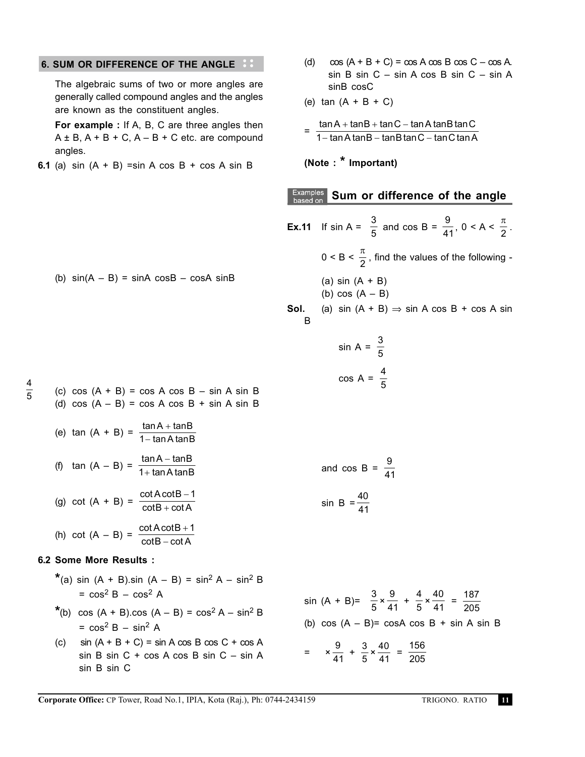### **6. SUM OR DIFFERENCE OF THE ANGLE**

The algebraic sums of two or more angles are generally called compound angles and the angles are known as the constituent angles.

**For example :** If A, B, C are three angles then  $A \pm B$ ,  $A + B + C$ ,  $A - B + C$  etc. are compound angles.

**6.1** (a) sin (A + B) =sin A cos B + cos A sin B

- (d)  $\cos (A + B + C) = \cos A \cos B \cos C \cos A$ . sin B sin C – sin A cos B sin C – sin A sinB cosC
- (e)  $tan (A + B + C)$

$$
= \frac{\tan A + \tan B + \tan C - \tan A \tan B \tan C}{1 - \tan A \tan B - \tan B \tan C - \tan C \tan A}
$$

**(Note : \* Important)**

# **Examples** Sum or difference of the angle

- (b)  $sin(A B) = sinA cosB cosA sinB$ (c)  $cos (A + B) = cos A cos B - sin A sin B$ (d)  $cos (A - B) = cos A cos B + sin A sin B$ (e) tan  $(A + B) = \frac{\tan A + \tan B}{1 - \tan A \tan B}$  $A + tanB$ A tan B + 1− (f)  $\tan (A - B) = \frac{\tan A - \tan A}{4 + \tan A + \tan A}$ tan A tan  $\mathsf{A}-\mathsf{tan}\mathsf{B}$ A tan B −  $1+$ (g) cot  $(A + B) = \frac{\cot A \cot A}{\cot B \cot B}$  $\cot B + \cot$ A cot B  $B + \cot A$ − + 1 (h) cot  $(A - B) = \frac{\cot A \cot B}{\cot B}$  $\cot B - \cot$ **A** cotB  $B - \cot A$ + − 1 **6.2 Some More Results : \***(a) sin  $(A + B)$ .sin  $(A - B) = \sin^2 A - \sin^2 B$  $=$  cos<sup>2</sup> B – cos<sup>2</sup> A \*(b) cos  $(A + B)$ .cos  $(A - B) = cos^2 A - sin^2 B$  $=$  cos<sup>2</sup> B – sin<sup>2</sup> A **Ex.11** If sin A =  $\frac{3}{5}$  and cos B =  $\frac{9}{41}$ , 0 < A <  $\frac{\pi}{2}$ .  $0 < B < \frac{\pi}{2}$ , find the values of the following -(a) sin  $(A + B)$ (b)  $cos(A - B)$ **Sol.** (a) sin  $(A + B) \Rightarrow$  sin A cos B + cos A sin B sin A =  $\frac{3}{5}$ 5  $\cos A = \frac{4}{5}$ 5 and cos B =  $\frac{9}{4}$ 41 sin B =  $\frac{40}{14}$ 41 sin (A + B)=  $\frac{3}{5} \times \frac{9}{41} + \frac{4}{5} \times \frac{40}{41} = \frac{187}{205}$ 205 (b)  $\cos (A - B) = \cos A \cos B + \sin A \sin B$ 
	- (c)  $\sin (A + B + C) = \sin A \cos B \cos C + \cos A$ sin B sin C + cos A cos B sin C – sin A sin B sin C  $=\quad \times \frac{9}{41} + \frac{3}{5} \times \frac{40}{41} = \frac{156}{205}$

205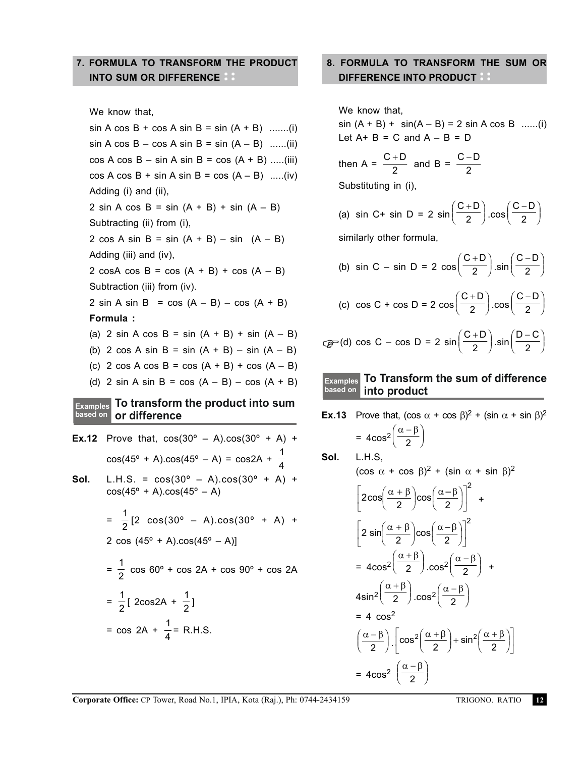# **7. FORMULA TO TRANSFORM THE PRODUCT INTO SUM OR DIFFERENCE**

We know that,

 $sin A cos B + cos A sin B = sin (A + B)$  .......(i)  $sin A cos B - cos A sin B = sin (A - B)$  ......(ii)  $cos A cos B - sin A sin B = cos (A + B)$  .....(iii)  $cos A cos B + sin A sin B = cos (A - B)$  .....(iv) Adding (i) and (ii), 2 sin A cos B = sin  $(A + B)$  + sin  $(A - B)$ Subtracting (ii) from (i), 2 cos A sin B = sin  $(A + B)$  – sin  $(A - B)$ Adding (iii) and (iv), 2 cosA cos B = cos  $(A + B)$  + cos  $(A - B)$ Subtraction (iii) from (iv). 2 sin A sin B =  $cos (A - B) - cos (A + B)$ **Formula :** (a) 2 sin A cos B = sin  $(A + B)$  + sin  $(A - B)$ (b) 2 cos A sin B = sin  $(A + B)$  – sin  $(A - B)$ (c) 2 cos A cos B = cos  $(A + B)$  + cos  $(A - B)$ (d) 2 sin A sin B = cos  $(A - B) - cos (A + B)$ **To transform the product into sum Examples or difference based on Ex.12** Prove that,  $cos(30^{\circ} - A) \cdot cos(30^{\circ} + A)$  +  $cos(45^{\circ} + A) \cdot cos(45^{\circ} - A) = cos2A + \frac{1}{4}$ 4 **Sol.** L.H.S. =  $cos(30^{\circ} - A)$ . $cos(30^{\circ} + A)$  +  $cos(45^{\circ} + A) \cdot cos(45^{\circ} - A)$ =  $\frac{1}{2}$ [2 cos(30° – A).cos(30° + A) + 2 cos  $(45^{\circ} + A)$ .cos $(45^{\circ} - A)$ ]  $=\frac{1}{2}$  cos 60° + cos 2A + cos 90° + cos 2A  $=\frac{1}{2} [ 2 \cos 2A + \frac{1}{2} ]$ = cos 2A +  $\frac{1}{4}$  = R.H.S.

# **8. FORMULA TO TRANSFORM THE SUM OR DIFFERENCE INTO PRODUCT**

We know that,  $sin (A + B) + sin(A - B) = 2 sin A cos B$  ......(i) Let  $A + B = C$  and  $A - B = D$ then A =  $\frac{C+D}{2}$  and B =  $\frac{C-D}{2}$ 2 Substituting in (i), (a) sin C+ sin D = 2  $\sin \left( \frac{C+D}{2} \right) \cdot \cos \left( \frac{C-D}{2} \right)$ H K  $\overline{\phantom{a}}$ .<br>J similarly other formula, (b) sin C – sin D = 2  $\cos\left(\frac{C+D}{2}\right)$  sin $\left(\frac{C-D}{2}\right)$  $\overline{\phantom{a}}$ K  $\overline{\phantom{a}}$ K (c)  $\cos C + \cos D = 2 \cos \left( \frac{C+D}{2} \right) \cdot \cos \left( \frac{C-D}{2} \right)$  $\overline{\phantom{a}}$ K  $\overline{\phantom{a}}$ .<br>J  $\text{C} = \text{C} \cdot \text{C} - \text{C} \cdot \text{C} = 2 \sin \left( \frac{C + D}{2} \right) \cdot \sin \left( \frac{D - C}{2} \right)$  $\bigg($ .<br>I  $\overline{\phantom{a}}$ .<br>J

#### **To Transform the sum of difference into product Examples based on**

| Ex.13    | Prove that, $(\cos \alpha + \cos \beta)^2 + (\sin \alpha + \sin \beta)^2$                                                             |
|----------|---------------------------------------------------------------------------------------------------------------------------------------|
|          | = $4\cos^2\left(\frac{\alpha-\beta}{2}\right)$                                                                                        |
| Sol.     | L.H.S,                                                                                                                                |
|          | $(\cos \alpha + \cos \beta)^2$ + $(\sin \alpha + \sin \beta)^2$                                                                       |
|          | $\left 2\cos\left(\frac{\alpha+\beta}{2}\right)\cos\left(\frac{\alpha-\beta}{2}\right)\right ^2 +$                                    |
|          | $\left 2 \sin \left(\frac{\alpha+\beta}{2}\right) \cos \left(\frac{\alpha-\beta}{2}\right)\right ^2$                                  |
|          | = $4\cos^2\left(\frac{\alpha+\beta}{2}\right)\cdot\cos^2\left(\frac{\alpha-\beta}{2}\right)$ +                                        |
|          | $4\sin^2\left(\frac{\alpha+\beta}{2}\right)\cdot\cos^2\left(\frac{\alpha-\beta}{2}\right)$                                            |
|          | $= 4 \cos^2$                                                                                                                          |
|          | $\left(\frac{\alpha-\beta}{2}\right)\left \cos^2\left(\frac{\alpha+\beta}{2}\right)+\sin^2\left(\frac{\alpha+\beta}{2}\right)\right $ |
|          | = $4\cos^2\left(\frac{\alpha-\beta}{2}\right)$                                                                                        |
| -2434159 | TRIGONO. RATIO                                                                                                                        |
|          |                                                                                                                                       |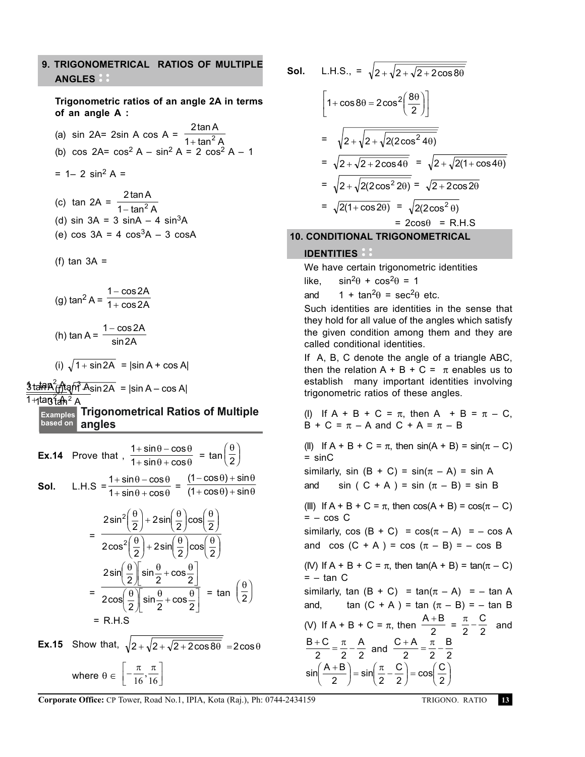# **9. TRIGONOMETRICAL RATIOS OF MULTIPLE ANGLES**

**Trigonometric ratios of an angle 2A in terms of an angle A :**

(a) sin 2A= 2sin A cos A =  $\frac{24}{1 + \tan^2 A}$ 2tanA  $+$  tan $^2$ (b)  $\cos 2A = \cos^2 A - \sin^2 A = 2 \cos^2 A - 1$  $= 1 - 2 \sin^2 A =$ 1 tan A 2 − 3tanA tan A 3 − (j) 1 − sin2A = |sin A – cos A| (c) tan 2A =  $\frac{2}{1}$  $1 - \tan^2$ tan tan A – tan<sup>2</sup> A (d) sin  $3A = 3 \sin A - 4 \sin^3 A$ (e)  $\cos 3A = 4 \cos^3 A - 3 \cos A$ (f)  $tan 3A =$ (g)  $\tan^2 A = \frac{1 - \cos 2A}{1 + \cos 2A}$ + − (h) tan A =  $\frac{1200}{\sin 2A}$  $1 - \cos 2A$ (i)  $\sqrt{1 + \sin 2A}$  =  $|\sin A + \cos A|$ 

# $1 + \tan^2 A^2$  A **Trigonometrical Ratios of Multiple Examples**

**angles based on**

**Ex.14** Prove that, 
$$
\frac{1 + \sin \theta - \cos \theta}{1 + \sin \theta + \cos \theta} = \tan \left(\frac{\theta}{2}\right)
$$
  
**SoI.** L.H.S = 
$$
\frac{1 + \sin \theta - \cos \theta}{1 + \sin \theta + \cos \theta} = \frac{(1 - \cos \theta) + \sin \theta}{(1 + \cos \theta) + \sin \theta}
$$

$$
= \frac{2\sin^2\left(\frac{\theta}{2}\right) + 2\sin\left(\frac{\theta}{2}\right)\cos\left(\frac{\theta}{2}\right)}{2\cos^2\left(\frac{\theta}{2}\right) + 2\sin\left(\frac{\theta}{2}\right)\cos\left(\frac{\theta}{2}\right)}
$$
  

$$
= \frac{2\sin\left(\frac{\theta}{2}\right)\sin\frac{\theta}{2} + \cos\frac{\theta}{2}}{2\cos\left(\frac{\theta}{2}\right)\sin\frac{\theta}{2} + \cos\frac{\theta}{2}} = \tan\left(\frac{\theta}{2}\right)
$$
  

$$
= R.H.S
$$

**Ex.15** Show that, 
$$
\sqrt{2 + \sqrt{2 + \sqrt{2 + 2\cos 8\theta}}}
$$
 =  $2\cos\theta$   
where  $\theta \in \left[-\frac{\pi}{16}, \frac{\pi}{16}\right]$ 

$$
\quad \text{Sol.}\quad \ \text{L.H.S.},
$$

**Sol.** L.H.S., = 
$$
\sqrt{2} + \sqrt{2} + \sqrt{2 + 2\cos 8\theta}
$$
  
\n
$$
\left[1 + \cos 8\theta = 2\cos^2\left(\frac{8\theta}{2}\right)\right]
$$
\n
$$
= \sqrt{2 + \sqrt{2 + \sqrt{2(2\cos^2 4\theta)}}}
$$
\n
$$
= \sqrt{2 + \sqrt{2 + 2\cos 4\theta}} = \sqrt{2 + \sqrt{2(1 + \cos 4\theta)}}
$$
\n
$$
= \sqrt{2 + \sqrt{2(2\cos^2 2\theta)}} = \sqrt{2 + 2\cos 2\theta}
$$

$$
= \sqrt{2(1+\cos 2\theta)} = \sqrt{2(2\cos^2 \theta)}
$$
  
= 2\cos\theta = R.H.S

 **10. CONDITIONAL TRIGONOMETRICAL**

# **IDENTITIES**

We have certain trigonometric identities

like,  $\sin^2\theta + \cos^2\theta = 1$ 

and  $1 + \tan^2\theta = \sec^2\theta$  etc.

Such identities are identities in the sense that they hold for all value of the angles which satisfy the given condition among them and they are called conditional identities.

If A, B, C denote the angle of a triangle ABC, then the relation  $A + B + C = \pi$  enables us to establish many important identities involving trigonometric ratios of these angles.

(I) If 
$$
A + B + C = \pi
$$
, then  $A + B = \pi - C$ ,  
  $B + C = \pi - A$  and  $C + A = \pi - B$ 

(II) If  $A + B + C = \pi$ , then  $sin(A + B) = sin(\pi - C)$  $=$  sinC

similarly, sin  $(B + C) = \sin(\pi - A) = \sin A$ and sin ( C + A ) = sin  $(\pi - B)$  = sin B

(III) If  $A + B + C = \pi$ , then  $cos(A + B) = cos(\pi - C)$  $= - \cos C$ 

similarly,  $cos(B + C) = cos(\pi - A) = -cos A$ and cos  $(C + A) = cos (\pi - B) = - cos B$ 

(IV) If  $A + B + C = \pi$ , then tan( $A + B$ ) = tan( $\pi - C$ )  $= - \tan C$ 

similarly, tan  $(B + C) = \tan(\pi - A) = -\tan A$ and, tan  $(C + A) = \tan (\pi - B) = -\tan B$ (V) If A + B + C =  $\pi$ , then  $\frac{A+B}{2} = \frac{\pi}{2} - \frac{C}{2}$  and

$$
\frac{B+C}{2} = \frac{\pi}{2} - \frac{A}{2}
$$
 and 
$$
\frac{C+A}{2} = \frac{\pi}{2} - \frac{B}{2}
$$

$$
\sin\left(\frac{A+B}{2}\right) = \sin\left(\frac{\pi}{2} - \frac{C}{2}\right) = \cos\left(\frac{C}{2}\right)
$$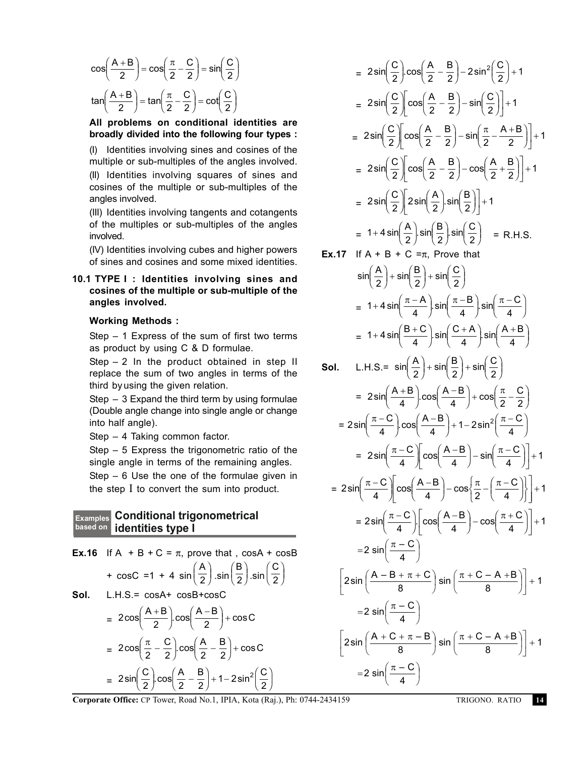$$
\cos\left(\frac{A+B}{2}\right) = \cos\left(\frac{\pi}{2} - \frac{C}{2}\right) = \sin\left(\frac{C}{2}\right)
$$

$$
\tan\left(\frac{A+B}{2}\right) = \tan\left(\frac{\pi}{2} - \frac{C}{2}\right) = \cot\left(\frac{C}{2}\right)
$$

**All problems on conditional identities are broadly divided into the following four types :**

(I) Identities involving sines and cosines of the multiple or sub-multiples of the angles involved. (II) Identities involving squares of sines and cosines of the multiple or sub-multiples of the angles involved.

(III) Identities involving tangents and cotangents of the multiples or sub-multiples of the angles involved.

(IV) Identities involving cubes and higher powers of sines and cosines and some mixed identities.

# **10.1 TYPE I : Identities involving sines and cosines of the multiple or sub-multiple of the angles involved.**

### **Working Methods :**

Step – 1 Express of the sum of first two terms as product by using C & D formulae.

Step  $-2$  In the product obtained in step II replace the sum of two angles in terms of the third by using the given relation.

Step – 3 Expand the third term by using formulae (Double angle change into single angle or change into half angle).

Step – 4 Taking common factor.

Step – 5 Express the trigonometric ratio of the single angle in terms of the remaining angles. Step – 6 Use the one of the formulae given in the step I to convert the sum into product.

#### **Conditional trigonometrical identities type I based on Examples**

**Ex.16** If A + B + C = 
$$
\pi
$$
, prove that, cosA + cosB  
\n+ cosC = 1 + 4 sin $\left(\frac{A}{2}\right)$ .sin $\left(\frac{B}{2}\right)$ .sin $\left(\frac{C}{2}\right)$   
\n**Sol.** L.H.S.= cosA+ cosB+cosC  
\n=  $2\cos\left(\frac{A+B}{2}\right)\cos\left(\frac{A-B}{2}\right)$  + cosC

$$
= 2\cos\left(\frac{\pi}{2} - \frac{C}{2}\right)\cos\left(\frac{A}{2} - \frac{B}{2}\right) + \cos C
$$

$$
= 2\sin\left(\frac{C}{2}\right)\cos\left(\frac{A}{2} - \frac{B}{2}\right) + 1 - 2\sin^2\left(\frac{C}{2}\right)
$$

$$
= 2\sin\left(\frac{C}{2}\right)\cos\left(\frac{A}{2} - \frac{B}{2}\right) - 2\sin^2\left(\frac{C}{2}\right) + 1
$$
\n
$$
= 2\sin\left(\frac{C}{2}\right)\left[\cos\left(\frac{A}{2} - \frac{B}{2}\right) - \sin\left(\frac{C}{2}\right)\right] + 1
$$
\n
$$
= 2\sin\left(\frac{C}{2}\right)\left[\cos\left(\frac{A}{2} - \frac{B}{2}\right) - \sin\left(\frac{\pi}{2} - \frac{A+B}{2}\right)\right] + 1
$$
\n
$$
= 2\sin\left(\frac{C}{2}\right)\left[\cos\left(\frac{A}{2} - \frac{B}{2}\right) - \cos\left(\frac{A}{2} + \frac{B}{2}\right)\right] + 1
$$
\n
$$
= 2\sin\left(\frac{C}{2}\right)\left[2\sin\left(\frac{A}{2}\right)\sin\left(\frac{B}{2}\right)\right] + 1
$$
\n
$$
= 1 + 4\sin\left(\frac{A}{2}\right)\sin\left(\frac{B}{2}\right)\sin\left(\frac{C}{2}\right) = R.H.S.
$$
\n17. If A + B + C =  $\pi$ , Prove that

**Ex.17** If 
$$
A + B + C = \pi
$$
, Prove that

$$
\sin\left(\frac{A}{2}\right) + \sin\left(\frac{B}{2}\right) + \sin\left(\frac{C}{2}\right)
$$
\n
$$
= 1 + 4\sin\left(\frac{\pi - A}{4}\right) \cdot \sin\left(\frac{\pi - B}{4}\right) \cdot \sin\left(\frac{\pi - C}{4}\right)
$$
\n
$$
= 1 + 4\sin\left(\frac{B + C}{4}\right) \cdot \sin\left(\frac{C + A}{4}\right) \cdot \sin\left(\frac{A + B}{4}\right)
$$

**Sol.** L.H.S.= 
$$
\sin\left(\frac{A}{2}\right) + \sin\left(\frac{B}{2}\right) + \sin\left(\frac{C}{2}\right)
$$

$$
= 2\sin\left(\frac{A+B}{4}\right)\cos\left(\frac{A-B}{4}\right) + \cos\left(\frac{\pi}{2} - \frac{C}{2}\right)
$$

$$
= 2\sin\left(\frac{\pi-C}{4}\right)\cos\left(\frac{A-B}{4}\right) + 1 - 2\sin^2\left(\frac{\pi-C}{4}\right)
$$

$$
= 2\sin\left(\frac{\pi-C}{4}\right)\cos\left(\frac{A-B}{4}\right) - \sin\left(\frac{\pi-C}{4}\right)\right] + 1
$$

$$
= 2\sin\left(\frac{\pi-C}{4}\right)\left[\cos\left(\frac{A-B}{4}\right)-\cos\left(\frac{\pi}{2}-\left(\frac{\pi-C}{4}\right)\right)\right]+1
$$

$$
= 2\sin\left(\frac{\pi-C}{4}\right)\left[\cos\left(\frac{A-B}{4}\right)-\cos\left(\frac{\pi+C}{4}\right)\right]+1
$$

$$
= 2 \sin\left(\frac{\pi - C}{4}\right) \cos\left(\frac{\pi}{4}\right) - \cos\left(\frac{\pi}{4}\right) + 1
$$

$$
= 2 \sin\left(\frac{\pi - C}{4}\right)
$$

$$
\left[2 \sin\left(\frac{A - B + \pi + C}{8}\right) \sin\left(\frac{\pi + C - A + B}{8}\right)\right] + 1
$$

$$
\begin{bmatrix}\n & 8 & 9 \\
-2 \sin\left(\frac{\pi - C}{4}\right) & & \\
2 \sin\left(\frac{A + C + \pi - B}{8}\right) \sin\left(\frac{\pi + C - A + B}{8}\right)\n\end{bmatrix} + 1
$$
\n
$$
= 2 \sin\left(\frac{\pi - C}{4}\right)
$$

**Corporate Office:** CP Tower, Road No.1, IPIA, Kota (Raj.), Ph: 0744-2434159 TRIGONO. RATIO **14**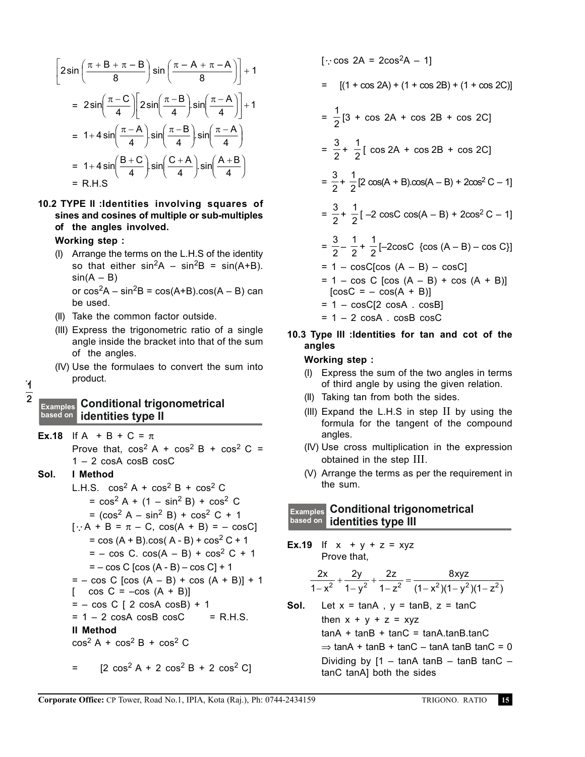$$
\left[2\sin\left(\frac{\pi+B+\pi-B}{8}\right)\sin\left(\frac{\pi-A+\pi-A}{8}\right)\right]+1
$$
\n
$$
=2\sin\left(\frac{\pi-C}{4}\right)\left[2\sin\left(\frac{\pi-B}{4}\right)\sin\left(\frac{\pi-A}{4}\right)\right]+1
$$
\n
$$
=1+4\sin\left(\frac{\pi-A}{4}\right)\cdot\sin\left(\frac{\pi-B}{4}\right)\cdot\sin\left(\frac{\pi-A}{4}\right)
$$
\n
$$
=1+4\sin\left(\frac{B+C}{4}\right)\cdot\sin\left(\frac{C+A}{4}\right)\cdot\sin\left(\frac{A+B}{4}\right)
$$
\n
$$
=R.H.S
$$

**10.2 TYPE II :Identities involving squares of sines and cosines of multiple or sub-multiples of the angles involved.**

**Working step :**

- (I) Arrange the terms on the L.H.S of the identity so that either  $sin^2A - sin^2B = sin(A+B)$ .  $sin(A - B)$ or  $cos<sup>2</sup>A - sin<sup>2</sup>B = cos(A+B) . cos(A - B)$  can be used.
- (II) Take the common factor outside.
- (III) Express the trigonometric ratio of a single angle inside the bracket into that of the sum of the angles.
- (IV) Use the formulaes to convert the sum into product.

### $\cdot$  $\frac{1}{2}$

# **Conditional trigonometrical Examples identities type II based on**

**Ex.18** If A + B + C =  $\pi$ 

Prove that,  $\cos^2 A + \cos^2 B + \cos^2 C =$ 1 – 2 cosA cosB cosC

### **Sol. I Method**

L.H.S.  $\cos^2 A + \cos^2 B + \cos^2 C$  $=$  cos<sup>2</sup> A + (1 – sin<sup>2</sup> B) + cos<sup>2</sup> C  $=$   $(cos<sup>2</sup> A - sin<sup>2</sup> B) + cos<sup>2</sup> C + 1$  $[\because A + B = \pi - C, \cos(A + B) = - \cos C]$  $=$  cos  $(A + B)$ .cos $(A - B)$  + cos<sup>2</sup> C + 1  $= - \cos C$ .  $\cos(A - B) + \cos^2 C + 1$  $= - \cos C$   $[\cos (A - B) - \cos C] + 1$  $= - \cos C$  [cos  $(A - B) + \cos (A + B)$ ] + 1  $\Box$  $\cos C = -\cos (A + B)$ ]  $= - \cos C$  [ 2 cosA cosB) + 1  $= 1 - 2 \cos A \cos B \cos C$  = R.H.S. **II Method**  $\cos^2 A + \cos^2 B + \cos^2 C$ 

$$
= [2 \cos^2 A + 2 \cos^2 B + 2 \cos^2 C]
$$

$$
[\because \cos 2A = 2\cos^2 A - 1]
$$
  
= 
$$
[(1 + \cos 2A) + (1 + \cos 2B) + (1 + \cos 2C)]
$$
  
= 
$$
\frac{1}{2}[3 + \cos 2A + \cos 2B + \cos 2C]
$$
  
= 
$$
\frac{3}{2} + \frac{1}{2}[ \cos 2A + \cos 2B + \cos 2C]
$$
  
= 
$$
\frac{3}{2} + \frac{1}{2}[2 \cos(A + B)\cos(A - B) + 2\cos^2 C - 1]
$$
  
= 
$$
\frac{3}{2} + \frac{1}{2}[-2 \cos C \cos(A - B) + 2\cos^2 C - 1]
$$
  
= 
$$
\frac{3}{2} - \frac{1}{2} + \frac{1}{2}[-2\cos C \{\cos(A - B) - \cos C\}]
$$
  
= 
$$
1 - \cos C[\cos(A - B) - \cos C]
$$
  
= 
$$
1 - \cos C [\cos(A - B) + \cos(A + B)]
$$
  
[
$$
[\cos C = - \cos(A + B)]
$$
  
= 
$$
1 - \cos C[2 \cos A \cdot \cos B]
$$

 $= 1 - 2 \cos A$ .  $\cosh \cosh A$ 

**10.3 Type III :Identities for tan and cot of the angles**

### **Working step :**

- (I) Express the sum of the two angles in terms of third angle by using the given relation.
- (II) Taking tan from both the sides.
- (III) Expand the L.H.S in step II by using the formula for the tangent of the compound angles.
- (IV) Use cross multiplication in the expression obtained in the step III.
- (V) Arrange the terms as per the requirement in the sum.

# **Conditional trigonometrical Examples identities type III based on**

**Ex.19** If  $x + y + z = xyz$ Prove that,

$$
\frac{2x}{1-x^2} + \frac{2y}{1-y^2} + \frac{2z}{1-z^2} = \frac{8xyz}{(1-x^2)(1-y^2)(1-z^2)}
$$

Sol. Let 
$$
x = \tan A
$$
,  $y = \tan B$ ,  $z = \tan C$ 

\nthen  $x + y + z = xyz$ 

\n $\tan A + \tan B + \tan C = \tan A \cdot \tan B \cdot \tan C$ 

\n $\Rightarrow \tan A + \tan B + \tan C - \tan A \cdot \tan B \cdot \tan C = 0$ 

\nDividing by  $[1 - \tan A \tan B - \tan B \tan C - \tan A \cdot \tan A]$  both the sides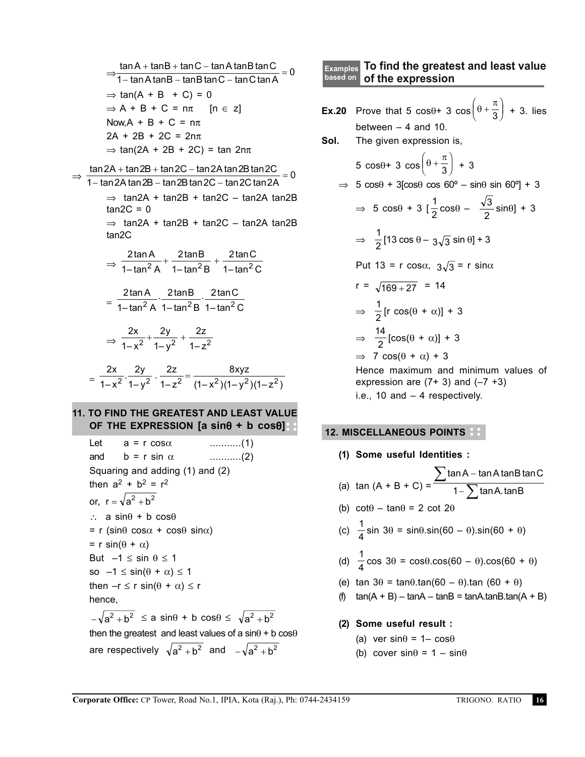$$
\frac{\tan A + \tan B + \tan C - \tan A \tan B \tan C}{1 - \tan A \tan B - \tan B \tan C - \tan C \tan A} = 0
$$
  
\n⇒ tan(A + B + C) = 0  
\n⇒ A + B + C = nπ [n ∈ z]  
\nNow, A + B + C = nπ [n ∈ z]  
\nNow, A + B + C = nπ  
\n2A + 2B + 2C = 2nπ  
\n⇒ tan(2A + tan2B + tan2C - tan2A tan2B tan2C = 0  
\n1 - tan2A tan 2B - tan 2B tan 2C - tan2A tan 2B  
\ntan2C = 0  
\n⇒ tan2A + tan2B + tan2C - tan2A tan2B  
\ntan2C  
\n⇒  $\frac{2 \tan A}{1 - \tan^2 A} + \frac{2 \tan B}{1 - \tan^2 B} + \frac{2 \tan C}{1 - \tan^2 C}$   
\n $= \frac{2 \tan A}{1 - \tan^2 A} \cdot \frac{2 \tan B}{1 - \tan^2 B} \cdot \frac{2 \tan C}{1 - \tan^2 C}$   
\n $\Rightarrow \frac{2x}{1 - x^2} + \frac{2y}{1 - y^2} + \frac{2z}{1 - z^2}$   
\n $= \frac{2x}{1 - x^2} \cdot \frac{2y}{1 - y^2} \cdot \frac{2z}{1 - z^2} = \frac{8xyz}{(1 - x^2)(1 - y^2)(1 - z^2)}$ 

# **11. TO FIND THE GREATEST AND LEAST VALUE OF THE EXPRESSION [a sin**θ **+ b cos**θ**]**

Let 
$$
a = r \cos \alpha
$$
 .........(1)  
\nand  $b = r \sin \alpha$  .........(2)  
\nSquaring and adding (1) and (2)  
\nthen  $a^2 + b^2 = r^2$   
\nor,  $r = \sqrt{a^2 + b^2}$   
\n $\therefore a \sin \theta + b \cos \theta$   
\n $= r (\sin \theta \cos \alpha + \cos \theta \sin \alpha)$   
\n $= r \sin(\theta + \alpha)$   
\nBut  $-1 \le \sin \theta \le 1$   
\nso  $-1 \le \sin(\theta + \alpha) \le 1$   
\nthen  $-r \le r \sin(\theta + \alpha) \le r$   
\nhence,  
\n $-\sqrt{a^2 + b^2} \le a \sin \theta + b \cos \theta \le \sqrt{a^2 + b^2}$   
\nthen the greatest and least values of a  $\sin \theta + b \cos \theta$   
\nare respectively  $\sqrt{a^2 + b^2}$  and  $-\sqrt{a^2 + b^2}$ 

#### **To find the greatest and least value of the expression Examples based on**

**Ex.20** Prove that 5 cos $\left(\theta + \frac{\pi}{3}\right) + 3$ . lies  $\overline{\phantom{a}}$ .<br>J between  $-4$  and 10. **Sol.** The given expression is,  $5 \cos\theta + 3 \cos\left(\theta + \frac{\pi}{3}\right) + 3$  $\overline{\phantom{a}}$ K  $\Rightarrow$  5 cos $\theta$  + 3[cos $\theta$  cos 60° – sin $\theta$  sin 60°] + 3  $\Rightarrow$  5 cos $\theta$  + 3 [ $\frac{1}{2}$ cos $\theta$  –  $\frac{\sqrt{3}}{2}$ sin $\theta$ ] + 3  $\Rightarrow$   $\frac{1}{2}$ [13 cos  $\theta - 3\sqrt{3}$  sin  $\theta$ ] + 3 Put 13 = r cos $\alpha$ ,  $3\sqrt{3}$  = r sin $\alpha$  $r = \sqrt{169 + 27} = 14$  $\Rightarrow$   $\frac{1}{2}$ [r cos( $\theta$  +  $\alpha$ )] + 3  $\Rightarrow \frac{14}{2} [\cos(\theta + \alpha)] + 3$  $\Rightarrow$  7 cos( $\theta$  +  $\alpha$ ) + 3 Hence maximum and minimum values of expression are  $(7+3)$  and  $(-7 +3)$ i.e., 10 and – 4 respectively.

# **12. MISCELLANEOUS POINTS**

- **(1) Some useful Identities :**
- (a)  $\tan (A + B + C) =$ tan A – tan A tanB tan tan A. tan A  $-$  tan A tanB tan C A. tanB − − ∑  $1-\sum$ (b)  $\cot\theta - \tan\theta = 2 \cot 2\theta$ (c)  $\frac{1}{4}$ sin 3 $\theta$  = sin $\theta$ .sin(60 –  $\theta$ ).sin(60 +  $\theta$ ) (d)  $\frac{1}{4}$  cos 3 $\theta$  = cos $\theta$ .cos(60 –  $\theta$ ).cos(60 +  $\theta$ ) (e) tan  $3\theta = \tan\theta \cdot \tan(60 - \theta) \cdot \tan(60 + \theta)$ (f)  $\tan(A + B) - \tan A - \tan B = \tan A \cdot \tan B \cdot \tan(A + B)$ **(2) Some useful result :**
	- (a) ver sin $\theta$  = 1– cos $\theta$
	- (b) cover  $sin\theta = 1 sin\theta$